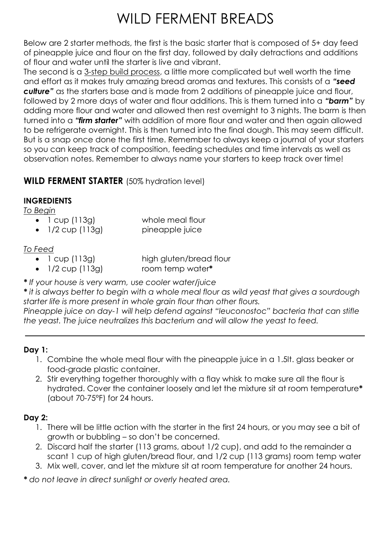# WILD FERMENT BREADS

Below are 2 starter methods, the first is the basic starter that is composed of 5+ day feed of pineapple juice and flour on the first day, followed by daily detractions and additions of flour and water until the starter is live and vibrant.

The second is a 3-step build process, a little more complicated but well worth the time and effort as it makes truly amazing bread aromas and textures. This consists of a *"seed culture"* as the starters base and is made from 2 additions of pineapple juice and flour, followed by 2 more days of water and flour additions. This is them turned into a *"barm"* by adding more flour and water and allowed then rest overnight to 3 nights. The barm is then turned into a *"firm starter"* with addition of more flour and water and then again allowed to be refrigerate overnight. This is then turned into the final dough. This may seem difficult. But is a snap once done the first time. Remember to always keep a journal of your starters so you can keep track of composition, feeding schedules and time intervals as well as observation notes. Remember to always name your starters to keep track over time!

# **WILD FERMENT STARTER** (50% hydration level)

#### **INGREDIENTS**

*To Begin*

- 1 cup (113g) whole meal flour
- 1/2 cup (113g) pineapple juice

### *To Feed*

• 1 cup (113g) high gluten/bread flour

- 1/2 cup (113g) room temp water**\***
- *\* If your house is very warm, use cooler water/juice*

*\* it is always better to begin with a whole meal flour as wild yeast that gives a sourdough starter life is more present in whole grain flour than other flours.*

*Pineapple juice on day-1 will help defend against "leuconostoc" bacteria that can stifle the yeast. The juice neutralizes this bacterium and will allow the yeast to feed.*

# **Day 1:**

- 1. Combine the whole meal flour with the pineapple juice in a 1.5lt. glass beaker or food-grade plastic container.
- 2. Stir everything together thoroughly with a flay whisk to make sure all the flour is hydrated. Cover the container loosely and let the mixture sit at room temperature**\*** (about 70-75°F) for 24 hours.

# **Day 2:**

- 1. There will be little action with the starter in the first 24 hours, or you may see a bit of growth or bubbling – so don't be concerned.
- 2. Discard half the starter (113 grams, about 1/2 cup), and add to the remainder a scant 1 cup of high gluten/bread flour, and 1/2 cup (113 grams) room temp water
- 3. Mix well, cover, and let the mixture sit at room temperature for another 24 hours.

*\* do not leave in direct sunlight or overly heated area.*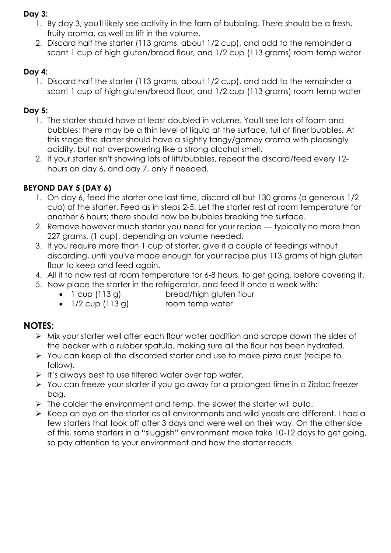#### **Day 3:**

- 1. By day 3, you'll likely see activity in the form of bubbling. There should be a fresh, fruity aroma, as well as lift in the volume.
- 2. Discard half the starter (113 grams, about 1/2 cup), and add to the remainder a scant 1 cup of high gluten/bread flour, and 1/2 cup (113 grams) room temp water

### **Day 4:**

1. Discard half the starter (113 grams, about 1/2 cup), and add to the remainder a scant 1 cup of high gluten/bread flour, and 1/2 cup (113 grams) room temp water

### **Day 5:**

- 1. The starter should have at least doubled in volume. You'll see lots of foam and bubbles; there may be a thin level of liquid at the surface, full of finer bubbles. At this stage the starter should have a slightly tangy/gamey aroma with pleasingly acidity, but not overpowering like a strong alcohol smell.
- 2. If your starter isn't showing lots of lift/bubbles, repeat the discard/feed every 12 hours on day 6, and day 7, only if needed.

# **BEYOND DAY 5 (DAY 6)**

- 1. On day 6, feed the starter one last time, discard all but 130 grams (a generous 1/2 cup) of the starter. Feed as in steps 2-5. Let the starter rest at room temperature for another 6 hours; there should now be bubbles breaking the surface.
- 2. Remove however much starter you need for your recipe typically no more than 227 grams, (1 cup), depending on volume needed.
- 3. If you require more than 1 cup of starter, give it a couple of feedings without discarding, until you've made enough for your recipe plus 113 grams of high gluten flour to keep and feed again.
- 4. All it to now rest at room temperature for 6-8 hours, to get going, before covering it.
- 5. Now place the starter in the refrigerator, and feed it once a week with:
	- 1 cup (113 g) bread/high gluten flour
	- 1/2 cup (113 g) room temp water

# **NOTES:**

- Mix your starter well after each flour water addition and scrape down the sides of the beaker with a rubber spatula, making sure all the flour has been hydrated.
- You can keep all the discarded starter and use to make pizza crust (recipe to follow).
- $\triangleright$  It's always best to use filtered water over tap water.
- You can freeze your starter if you go away for a prolonged time in a Ziploc freezer bag.
- $\triangleright$  The colder the environment and temp, the slower the starter will build.
- $\triangleright$  Keep an eye on the starter as all environments and wild yeasts are different. I had a few starters that took off after 3 days and were well on their way. On the other side of this, some starters in a "sluggish" environment make take 10-12 days to get going, so pay attention to your environment and how the starter reacts.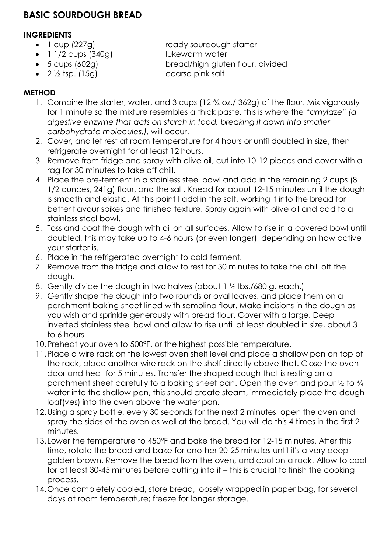# **BASIC SOURDOUGH BREAD**

#### **INGREDIENTS**

- 1 cup (227g) ready sourdough starter
- 1 1/2 cups (340g) lukewarm water
- -
- 

5 cups (602g) bread/high gluten flour, divided

•  $2\frac{1}{2}$  tsp. (15g) coarse pink salt

### **METHOD**

- 1. Combine the starter, water, and 3 cups (12 ¾ oz./ 362g) of the flour. Mix vigorously for 1 minute so the mixture resembles a thick paste, this is where the *"amylaze" (a digestive enzyme that acts on starch in food, breaking it down into smaller carbohydrate molecules.)*, will occur.
- 2. Cover, and let rest at room temperature for 4 hours or until doubled in size, then refrigerate overnight for at least 12 hours.
- 3. Remove from fridge and spray with olive oil, cut into 10-12 pieces and cover with a rag for 30 minutes to take off chill.
- 4. Place the pre-ferment in a stainless steel bowl and add in the remaining 2 cups (8 1/2 ounces, 241g) flour, and the salt. Knead for about 12-15 minutes until the dough is smooth and elastic. At this point I add in the salt, working it into the bread for better flavour spikes and finished texture. Spray again with olive oil and add to a stainless steel bowl.
- 5. Toss and coat the dough with oil on all surfaces. Allow to rise in a covered bowl until doubled, this may take up to 4-6 hours (or even longer), depending on how active your starter is.
- 6. Place in the refrigerated overnight to cold ferment.
- 7. Remove from the fridge and allow to rest for 30 minutes to take the chill off the dough.
- 8. Gently divide the dough in two halves (about 1 ½ lbs./680 g. each.)
- 9. Gently shape the dough into two rounds or oval loaves, and place them on a parchment baking sheet lined with semolina flour. Make incisions in the dough as you wish and sprinkle generously with bread flour. Cover with a large. Deep inverted stainless steel bowl and allow to rise until at least doubled in size, about 3 to 6 hours.
- 10.Preheat your oven to 500°F. or the highest possible temperature.
- 11.Place a wire rack on the lowest oven shelf level and place a shallow pan on top of the rack, place another wire rack on the shelf directly above that. Close the oven door and heat for 5 minutes. Transfer the shaped dough that is resting on a parchment sheet carefully to a baking sheet pan. Open the oven and pour  $\frac{1}{2}$  to  $\frac{3}{4}$ water into the shallow pan, this should create steam, immediately place the dough loaf(ves) into the oven above the water pan.
- 12.Using a spray bottle, every 30 seconds for the next 2 minutes, open the oven and spray the sides of the oven as well at the bread. You will do this 4 times in the first 2 minutes.
- 13. Lower the temperature to 450°F and bake the bread for 12-15 minutes. After this time, rotate the bread and bake for another 20-25 minutes until it's a very deep golden brown. Remove the bread from the oven, and cool on a rack. Allow to cool for at least 30-45 minutes before cutting into it – this is crucial to finish the cooking process.
- 14.Once completely cooled, store bread, loosely wrapped in paper bag, for several days at room temperature; freeze for longer storage.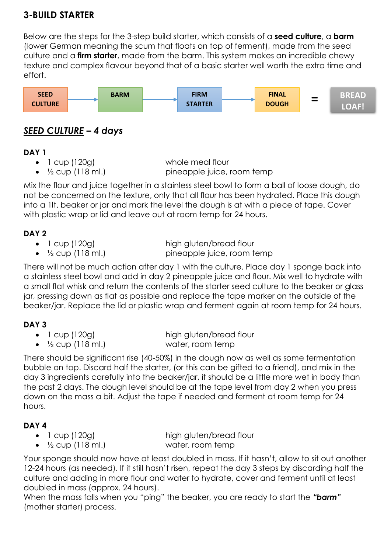# **3-BUILD STARTER**

Below are the steps for the 3-step build starter, which consists of a **seed culture**, a **barm**  (lower German meaning the scum that floats on top of ferment), made from the seed culture and a **firm starter**, made from the barm. This system makes an incredible chewy texture and complex flavour beyond that of a basic starter well worth the extra time and effort.



# *SEED CULTURE – 4 days*

#### **DAY 1**

- 
- 

• 1 cup (120g) whole meal flour •  $\frac{1}{2}$  cup (118 ml.) pineapple juice, room temp

Mix the flour and juice together in a stainless steel bowl to form a ball of loose dough, do not be concerned on the texture, only that all flour has been hydrated. Place this dough into a 1lt. beaker or jar and mark the level the dough is at with a piece of tape. Cover with plastic wrap or lid and leave out at room temp for 24 hours.

# **DAY 2**

- 
- $\frac{1}{2}$  cup (118 ml.) pineapple juice, room temp

• 1 cup (120g) high gluten/bread flour

There will not be much action after day 1 with the culture. Place day 1 sponge back into a stainless steel bowl and add in day 2 pineapple juice and flour. Mix well to hydrate with a small flat whisk and return the contents of the starter seed culture to the beaker or glass jar, pressing down as flat as possible and replace the tape marker on the outside of the beaker/jar. Replace the lid or plastic wrap and ferment again at room temp for 24 hours.

### **DAY 3**

- 
- 

• 1 cup (120g) high gluten/bread flour

 $\frac{1}{2}$  cup (118 ml.) water, room temp

There should be significant rise (40-50%) in the dough now as well as some fermentation bubble on top. Discard half the starter, (or this can be gifted to a friend), and mix in the day 3 ingredients carefully into the beaker/jar, it should be a little more wet in body than the past 2 days. The dough level should be at the tape level from day 2 when you press down on the mass a bit. Adjust the tape if needed and ferment at room temp for 24 hours.

# **DAY 4**

- 
- 1/2 cup (118 ml.) water, room temp

• 1 cup (120g) high gluten/bread flour

Your sponge should now have at least doubled in mass. If it hasn't, allow to sit out another 12-24 hours (as needed). If it still hasn't risen, repeat the day 3 steps by discarding half the culture and adding in more flour and water to hydrate, cover and ferment until at least doubled in mass (approx. 24 hours).

When the mass falls when you "ping" the beaker, you are ready to start the *"barm"* (mother starter) process.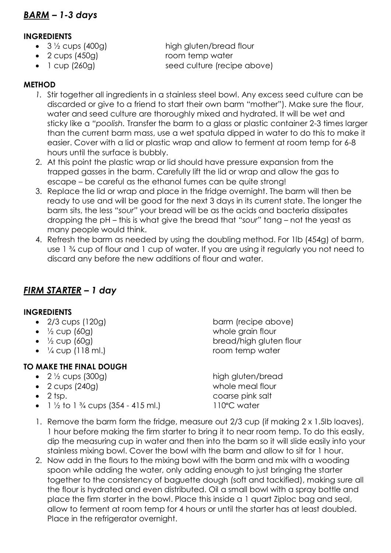#### **INGREDIENTS**

- 
- 2 cups (450g) room temp water
- 

• 3 1/2 cups (400g) high gluten/bread flour

• 1 cup (260g) seed culture (recipe above)

#### **METHOD**

- *1.* Stir together all ingredients in a stainless steel bowl. Any excess seed culture can be discarded or give to a friend to start their own barm "mother"). Make sure the flour, water and seed culture are thoroughly mixed and hydrated. It will be wet and sticky like a *"poolish.* Transfer the barm to a glass or plastic container 2-3 times larger than the current barm mass, use a wet spatula dipped in water to do this to make it easier. Cover with a lid or plastic wrap and allow to ferment at room temp for 6-8 hours until the surface is bubbly.
- 2. At this point the plastic wrap or lid should have pressure expansion from the trapped gasses in the barm. Carefully lift the lid or wrap and allow the gas to escape – be careful as the ethanol fumes can be quite strong!
- 3. Replace the lid or wrap and place in the fridge overnight. The barm will then be ready to use and will be good for the next 3 days in its current state. The longer the barm sits, the less *"sour"* your bread will be as the acids and bacteria dissipates dropping the pH – this is what give the bread that *"sour"* tang – not the yeast as many people would think.
- 4. Refresh the barm as needed by using the doubling method. For 1lb (454g) of barm, use 1 ¾ cup of flour and 1 cup of water. If you are using it regularly you not need to discard any before the new additions of flour and water.

# *FIRM STARTER – 1 day*

#### **INGREDIENTS**

- 
- 
- 
- 

### **TO MAKE THE FINAL DOUGH**

- 
- 2 cups (240g) whole meal flour
- 
- $1\frac{1}{2}$  to 1  $\frac{3}{4}$  cups (354 415 ml.) 110°C water

• 2/3 cups (120g) barm (recipe above) •  $\frac{1}{2}$  cup (60g) whole grain flour •  $\frac{1}{2}$  cup (60g) bread/high gluten flour •  $\frac{1}{4}$  cup (118 ml.) room temp water

• 2 <sup>1</sup>/<sub>2</sub> cups (300g) high gluten/bread 2 tsp. coarse pink salt

- 1. Remove the barm form the fridge, measure out 2/3 cup (if making 2 x 1.5lb loaves), 1 hour before making the firm starter to bring it to near room temp. To do this easily, dip the measuring cup in water and then into the barm so it will slide easily into your stainless mixing bowl. Cover the bowl with the barm and allow to sit for 1 hour.
- 2. Now add in the flours to the mixing bowl with the barm and mix with a wooding spoon while adding the water, only adding enough to just bringing the starter together to the consistency of baguette dough (soft and tackified), making sure all the flour is hydrated and even distributed. Oil a small bowl with a spray bottle and place the firm starter in the bowl. Place this inside a 1 quart Ziploc bag and seal, allow to ferment at room temp for 4 hours or until the starter has at least doubled. Place in the refrigerator overnight.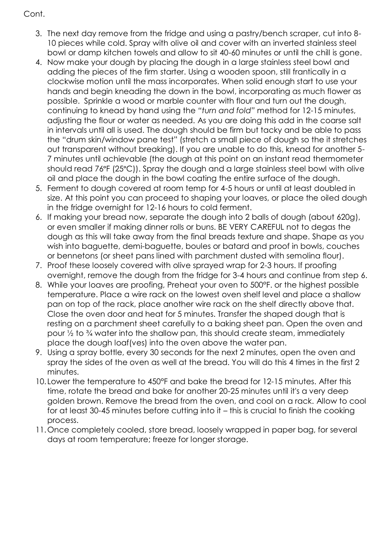- 3. The next day remove from the fridge and using a pastry/bench scraper, cut into 8- 10 pieces while cold. Spray with olive oil and cover with an inverted stainless steel bowl or damp kitchen towels and allow to sit 40-60 minutes or until the chill is gone.
- 4. Now make your dough by placing the dough in a large stainless steel bowl and adding the pieces of the firm starter. Using a wooden spoon, still frantically in a clockwise motion until the mass incorporates. When solid enough start to use your hands and begin kneading the down in the bowl, incorporating as much flower as possible. Sprinkle a wood or marble counter with flour and turn out the dough, continuing to knead by hand using the *"turn and fold"* method for 12-15 minutes, adjusting the flour or water as needed. As you are doing this add in the coarse salt in intervals until all is used. The dough should be firm but tacky and be able to pass the "drum skin/window pane test" (stretch a small piece of dough so the it stretches out transparent without breaking). If you are unable to do this, knead for another 5- 7 minutes until achievable (the dough at this point on an instant read thermometer should read 76°F (25°C)). Spray the dough and a large stainless steel bowl with olive oil and place the dough in the bowl coating the entire surface of the dough.
- 5. Ferment to dough covered at room temp for 4-5 hours or until at least doubled in size. At this point you can proceed to shaping your loaves, or place the oiled dough in the fridge overnight for 12-16 hours to cold ferment.
- 6. If making your bread now, separate the dough into 2 balls of dough (about 620g), or even smaller if making dinner rolls or buns. BE VERY CAREFUL not to degas the dough as this will take away from the final breads texture and shape. Shape as you wish into baguette, demi-baguette, boules or batard and proof in bowls, couches or bennetons (or sheet pans lined with parchment dusted with semolina flour).
- 7. Proof these loosely covered with olive sprayed wrap for 2-3 hours. If proofing overnight, remove the dough from the fridge for 3-4 hours and continue from step 6.
- 8. While your loaves are proofing, Preheat your oven to 500°F. or the highest possible temperature. Place a wire rack on the lowest oven shelf level and place a shallow pan on top of the rack, place another wire rack on the shelf directly above that. Close the oven door and heat for 5 minutes. Transfer the shaped dough that is resting on a parchment sheet carefully to a baking sheet pan. Open the oven and pour ½ to ¾ water into the shallow pan, this should create steam, immediately place the dough loaf(ves) into the oven above the water pan.
- 9. Using a spray bottle, every 30 seconds for the next 2 minutes, open the oven and spray the sides of the oven as well at the bread. You will do this 4 times in the first 2 minutes.
- 10. Lower the temperature to 450°F and bake the bread for 12-15 minutes. After this time, rotate the bread and bake for another 20-25 minutes until it's a very deep golden brown. Remove the bread from the oven, and cool on a rack. Allow to cool for at least 30-45 minutes before cutting into it – this is crucial to finish the cooking process.
- 11.Once completely cooled, store bread, loosely wrapped in paper bag, for several days at room temperature; freeze for longer storage.

#### Cont.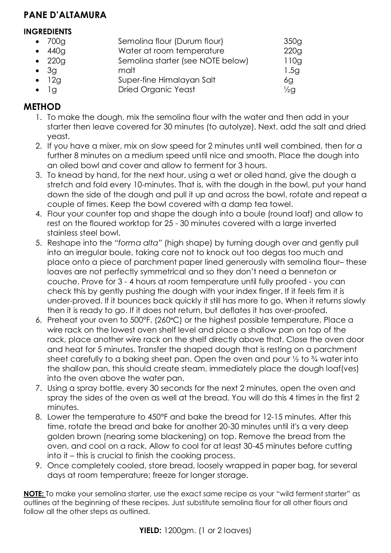# **PANE D'ALTAMURA**

#### **INGREDIENTS**

| $\bullet$ 700g | Semolina flour (Durum flour)      | 350g            |
|----------------|-----------------------------------|-----------------|
| $\bullet$ 440g | Water at room temperature         | 220g            |
| $\bullet$ 220g | Semolina starter (see NOTE below) | 110g            |
| $\bullet$ 3g   | malt                              | 1.5g            |
| $\bullet$ 12g  | Super-fine Himalayan Salt         | 6g              |
|                | <b>Dried Organic Yeast</b>        | $\frac{1}{2}$ g |

# **METHOD**

- 1. To make the dough, mix the semolina flour with the water and then add in your starter then leave covered for 30 minutes (to autolyze). Next, add the salt and dried yeast.
- 2. If you have a mixer, mix on slow speed for 2 minutes until well combined, then for a further 8 minutes on a medium speed until nice and smooth. Place the dough into an oiled bowl and cover and allow to ferment for 3 hours.
- 3. To knead by hand, for the next hour, using a wet or oiled hand, give the dough a stretch and fold every 10-minutes. That is, with the dough in the bowl, put your hand down the side of the dough and pull it up and across the bowl, rotate and repeat a couple of times. Keep the bowl covered with a damp tea towel.
- 4. Flour your counter top and shape the dough into a boule (round loaf) and allow to rest on the floured worktop for 25 - 30 minutes covered with a large inverted stainless steel bowl.
- 5. Reshape into the *"forma alta"* (high shape) by turning dough over and gently pull into an irregular boule, taking care not to knock out too degas too much and place onto a piece of parchment paper lined generously with semolina flour– these loaves are not perfectly symmetrical and so they don't need a benneton or couche. Prove for 3 - 4 hours at room temperature until fully proofed - you can check this by gently pushing the dough with your index finger. If it feels firm it is under-proved. If it bounces back quickly it still has more to go. When it returns slowly then it is ready to go. If it does not return, but deflates it has over-proofed.
- 6. Preheat your oven to 500°F. (260°C) or the highest possible temperature. Place a wire rack on the lowest oven shelf level and place a shallow pan on top of the rack, place another wire rack on the shelf directly above that. Close the oven door and heat for 5 minutes. Transfer the shaped dough that is resting on a parchment sheet carefully to a baking sheet pan. Open the oven and pour ½ to ¾ water into the shallow pan, this should create steam, immediately place the dough loaf(ves) into the oven above the water pan.
- 7. Using a spray bottle, every 30 seconds for the next 2 minutes, open the oven and spray the sides of the oven as well at the bread. You will do this 4 times in the first 2 minutes.
- 8. Lower the temperature to 450°F and bake the bread for 12-15 minutes. After this time, rotate the bread and bake for another 20-30 minutes until it's a very deep golden brown (nearing some blackening) on top. Remove the bread from the oven, and cool on a rack. Allow to cool for at least 30-45 minutes before cutting into it – this is crucial to finish the cooking process.
- 9. Once completely cooled, store bread, loosely wrapped in paper bag, for several days at room temperature; freeze for longer storage.

**NOTE:** To make your semolina starter, use the exact same recipe as your "wild ferment starter" as outlines at the beginning of these recipes. Just substitute semolina flour for all other flours and follow all the other steps as outlined.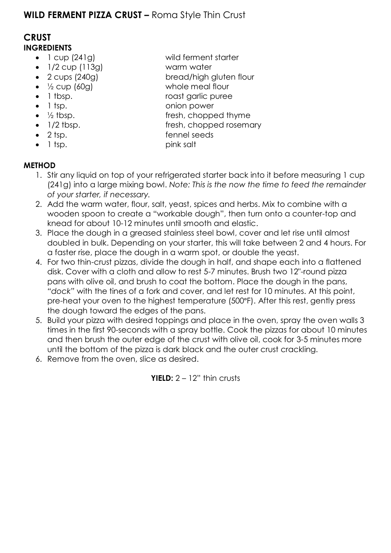# **WILD FERMENT PIZZA CRUST –** Roma Style Thin Crust

### **CRUST INGREDIENTS**

- 1 cup (241g) wild ferment starter
- 1/2 cup (113g) warm water
- 2 cups (240g) bread/high gluten flour
- 
- 
- 
- 
- 
- 
- 
- **METHOD**
	- 1. Stir any liquid on top of your refrigerated starter back into it before measuring 1 cup (241g) into a large mixing bowl. *Note: This is the now the time to feed the remainder of your starter, if necessary.*
	- 2. Add the warm water, flour, salt, yeast, spices and herbs. Mix to combine with a wooden spoon to create a "workable dough", then turn onto a counter-top and knead for about 10-12 minutes until smooth and elastic.
	- 3. Place the dough in a greased stainless steel bowl, cover and let rise until almost doubled in bulk. Depending on your starter, this will take between 2 and 4 hours. For a faster rise, place the dough in a warm spot, or double the yeast.
	- 4. For two thin-crust pizzas, divide the dough in half, and shape each into a flattened disk. Cover with a cloth and allow to rest 5-7 minutes. Brush two 12"-round pizza pans with olive oil, and brush to coat the bottom. Place the dough in the pans, *"dock"* with the tines of a fork and cover, and let rest for 10 minutes. At this point, pre-heat your oven to the highest temperature (500°F). After this rest, gently press the dough toward the edges of the pans.
	- 5. Build your pizza with desired toppings and place in the oven, spray the oven walls 3 times in the first 90-seconds with a spray bottle. Cook the pizzas for about 10 minutes and then brush the outer edge of the crust with olive oil, cook for 3-5 minutes more until the bottom of the pizza is dark black and the outer crust crackling.
	- 6. Remove from the oven, slice as desired.

**YIELD:** 2 – 12" thin crusts

- $\frac{1}{2}$  cup (60g) whole meal flour
- 1 tbsp. roast garlic puree
- 1 tsp. **b** onion power
- $\bullet$   $\frac{1}{2}$  tbsp.  $\bullet$  fresh, chopped thyme
- 1/2 tbsp. **fresh**, chopped rosemary
- 2 tsp. **a** fennel seeds
- 1 tsp. pink salt